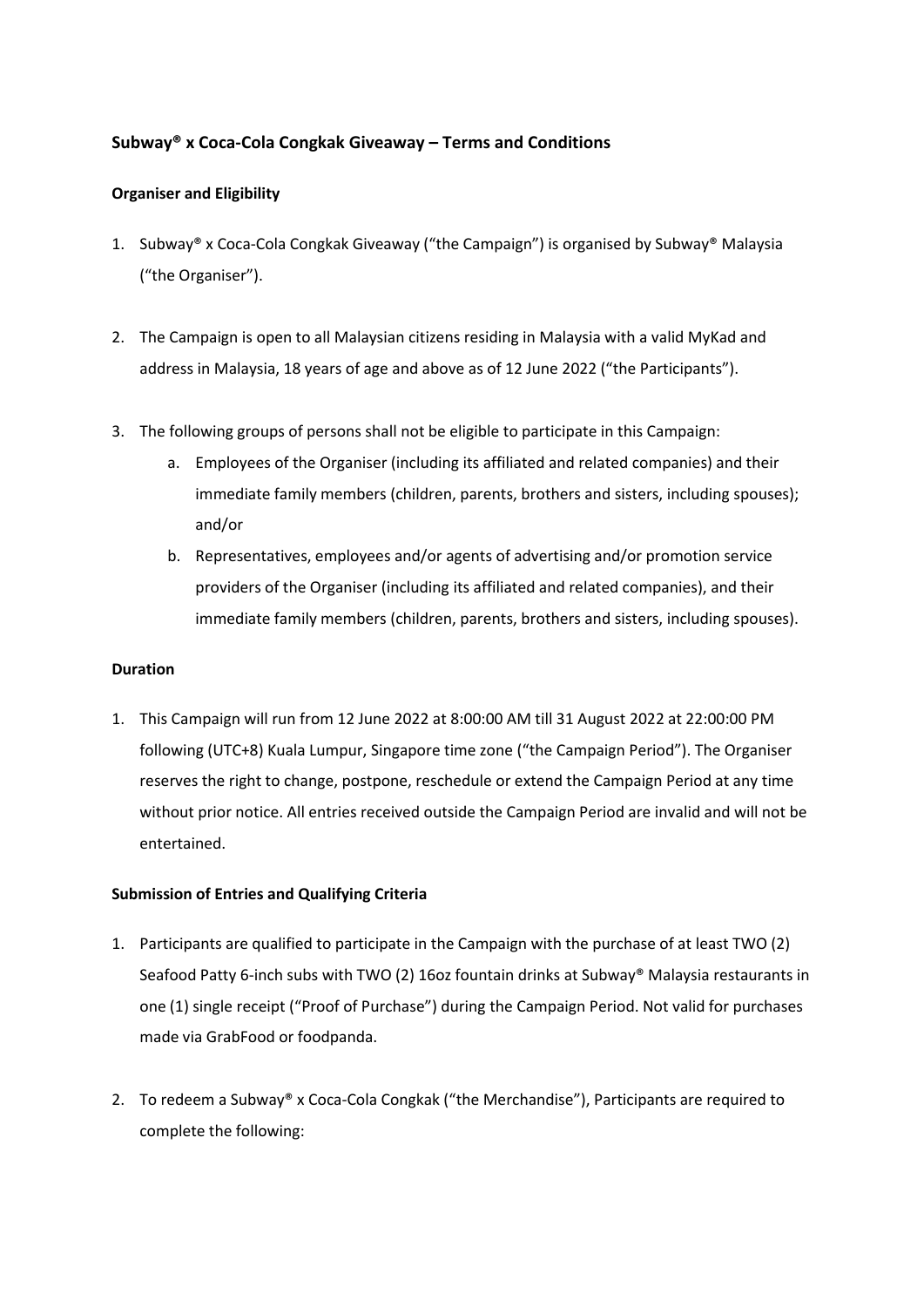# **Subway® x Coca-Cola Congkak Giveaway – Terms and Conditions**

## **Organiser and Eligibility**

- 1. Subway® x Coca-Cola Congkak Giveaway ("the Campaign") is organised by Subway® Malaysia ("the Organiser").
- 2. The Campaign is open to all Malaysian citizens residing in Malaysia with a valid MyKad and address in Malaysia, 18 years of age and above as of 12 June 2022 ("the Participants").
- 3. The following groups of persons shall not be eligible to participate in this Campaign:
	- a. Employees of the Organiser (including its affiliated and related companies) and their immediate family members (children, parents, brothers and sisters, including spouses); and/or
	- b. Representatives, employees and/or agents of advertising and/or promotion service providers of the Organiser (including its affiliated and related companies), and their immediate family members (children, parents, brothers and sisters, including spouses).

### **Duration**

1. This Campaign will run from 12 June 2022at 8:00:00 AM till 31 August 2022 at 22:00:00 PM following (UTC+8) Kuala Lumpur, Singapore time zone ("the Campaign Period"). The Organiser reserves the right to change, postpone, reschedule or extend the Campaign Period at any time without prior notice. All entries received outside the Campaign Period are invalid and will not be entertained.

### **Submission of Entries and Qualifying Criteria**

- 1. Participants are qualified to participate in the Campaign with the purchase of at least TWO (2) Seafood Patty 6-inch subs with TWO (2) 16oz fountain drinks at Subway® Malaysia restaurants in one (1) single receipt("Proof of Purchase") during the Campaign Period. Not valid for purchases made via GrabFood or foodpanda.
- 2. To redeem a Subway® x Coca-Cola Congkak ("the Merchandise"), Participants are required to complete the following: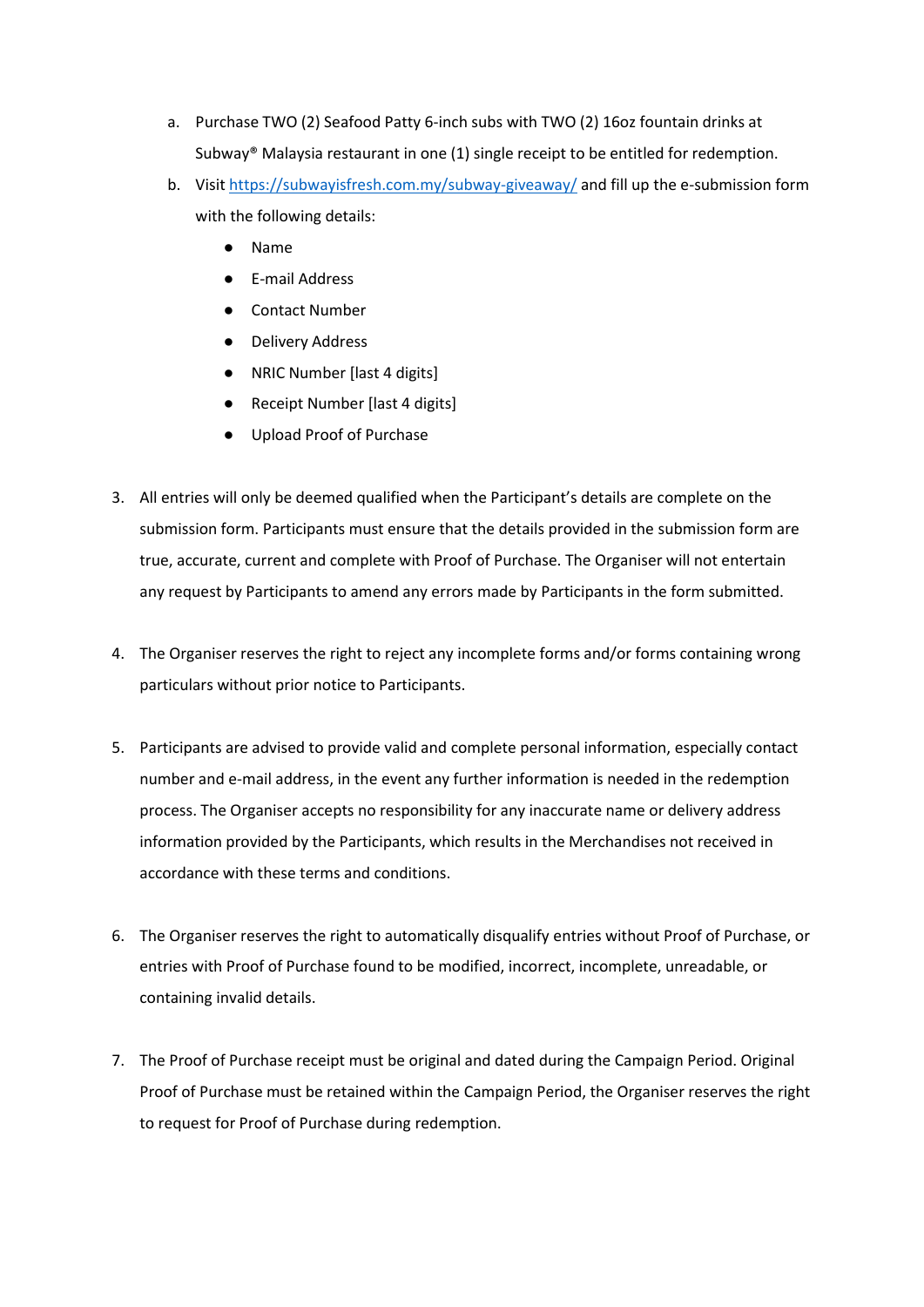- a. Purchase TWO (2) Seafood Patty 6-inch subs with TWO (2) 16oz fountain drinks at Subway<sup>®</sup> Malaysia restaurant in one  $(1)$  single receipt to be entitled for redemption.
- b. Visit <https://subwayisfresh.com.my/subway-giveaway/> and fill up the e-submission form with the following details:
	- Name
	- E-mail Address
	- Contact Number
	- Delivery Address
	- NRIC Number [last 4 digits]
	- Receipt Number [last 4 digits]
	- Upload Proof of Purchase
- 3. All entries will only be deemed qualified when the Participant's details are complete on the submission form. Participants must ensure that the details provided in the submission form are true, accurate, current and complete with Proof of Purchase. The Organiser will not entertain any request by Participants to amend any errors made by Participants in the form submitted.
- 4. The Organiser reserves the right to reject any incomplete forms and/or forms containing wrong particulars without prior notice to Participants.
- 5. Participants are advised to provide valid and complete personal information, especially contact number and e-mail address, in the event any further information is needed in the redemption process. The Organiser accepts no responsibility for any inaccurate name or delivery address information provided by the Participants, which results in the Merchandises not received in accordance with these terms and conditions.
- 6. The Organiser reserves the right to automatically disqualify entries without Proof of Purchase, or entries with Proof of Purchase found to be modified, incorrect, incomplete, unreadable, or containing invalid details.
- 7. The Proof of Purchase receipt must be original and dated during the Campaign Period. Original Proof of Purchase must be retained within the Campaign Period, the Organiser reserves the right to request for Proof of Purchase during redemption.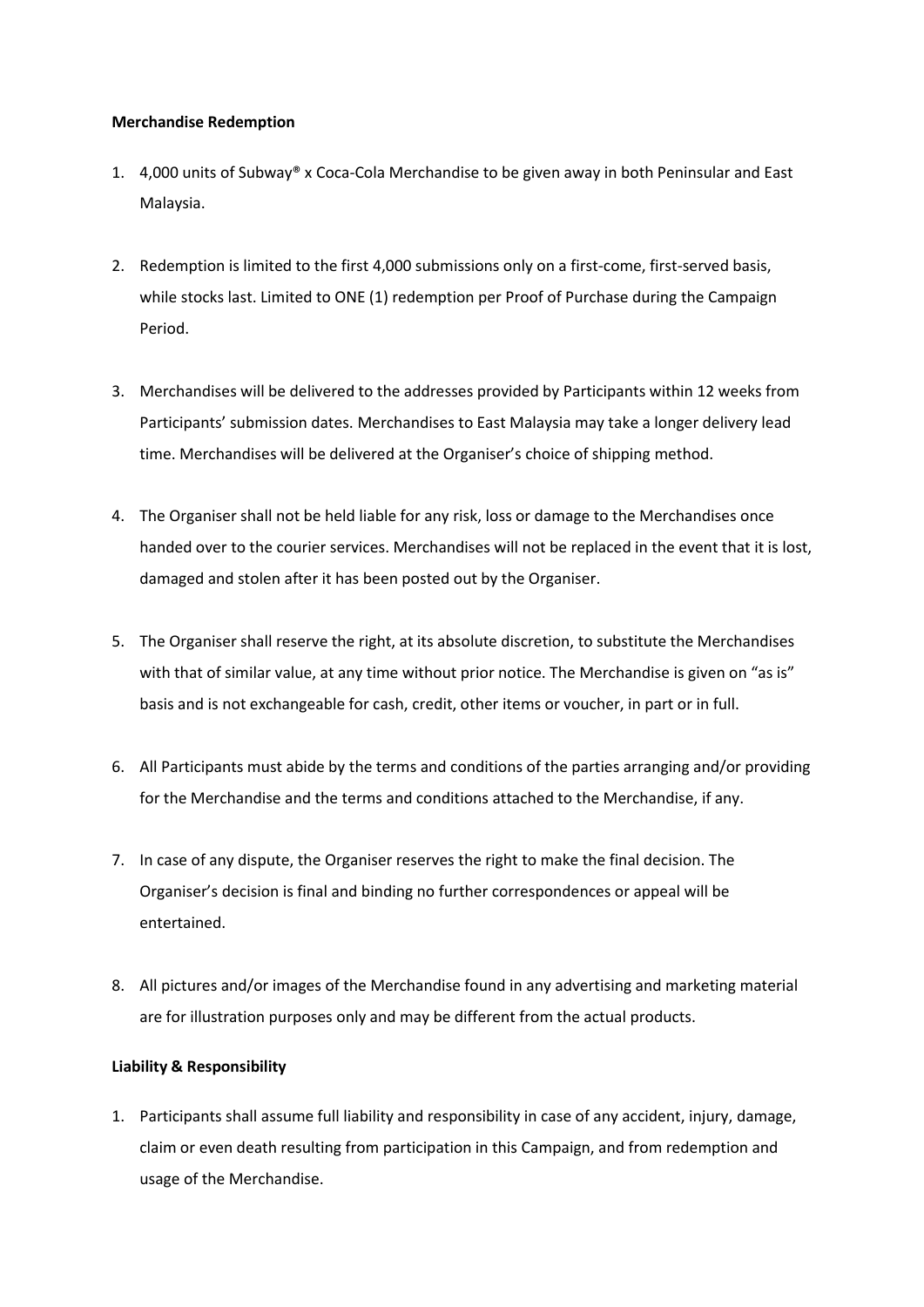#### **Merchandise Redemption**

- 1. 4,000 units of Subway® x Coca-Cola Merchandise to be given away in both Peninsular and East Malaysia.
- 2. Redemption is limited to the first 4,000 submissions only on a first-come, first-served basis, while stocks last. Limited to ONE (1) redemption per Proof of Purchase during the Campaign Period.
- 3. Merchandises will be delivered to the addresses provided by Participants within 12 weeks from Participants' submission dates. Merchandises to East Malaysia may take a longer delivery lead time. Merchandises will be delivered at the Organiser's choice of shipping method.
- 4. The Organiser shall not be held liable for any risk, loss or damage to the Merchandises once handed over to the courier services. Merchandises will not be replaced in the event that it is lost, damaged and stolen after it has been posted out by the Organiser.
- 5. The Organiser shall reserve the right, at its absolute discretion, to substitute the Merchandises with that of similar value, at any time without prior notice. The Merchandise is given on "as is" basis and is not exchangeable for cash, credit, other items or voucher, in part or in full.
- 6. All Participants must abide by the terms and conditions of the parties arranging and/or providing for the Merchandise and the terms and conditions attached to the Merchandise, if any.
- 7. In case of any dispute, the Organiser reserves the right to make the final decision. The Organiser's decision is final and binding no further correspondences or appeal will be entertained.
- 8. All pictures and/or images of the Merchandise found in any advertising and marketing material are for illustration purposes only and may be different from the actual products.

### **Liability & Responsibility**

1. Participants shall assume full liability and responsibility in case of any accident, injury, damage, claim or even death resulting from participation in this Campaign, and from redemption and usage of the Merchandise.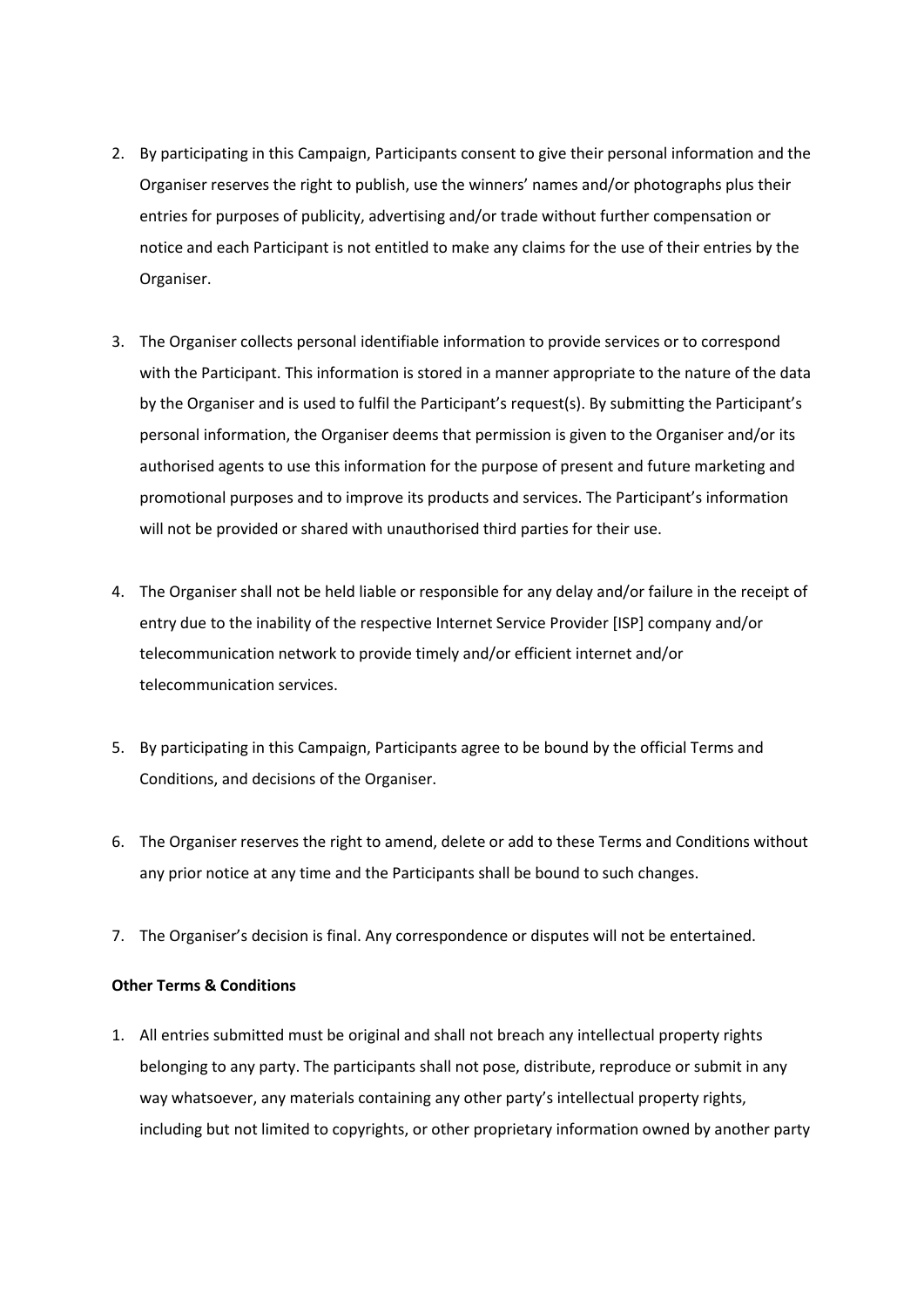- 2. By participating in this Campaign, Participants consent to give their personal information and the Organiser reserves the right to publish, use the winners' names and/or photographs plus their entries for purposes of publicity, advertising and/or trade without further compensation or notice and each Participant is not entitled to make any claims for the use of their entries by the Organiser.
- 3. The Organiser collects personal identifiable information to provide services or to correspond with the Participant. This information is stored in a manner appropriate to the nature of the data by the Organiser and is used to fulfil the Participant's request(s). By submitting the Participant's personal information, the Organiser deems that permission is given to the Organiser and/or its authorised agents to use this information for the purpose of present and future marketing and promotional purposes and to improve its products and services. The Participant's information will not be provided or shared with unauthorised third parties for their use.
- 4. The Organiser shall not be held liable or responsible for any delay and/or failure in the receiptof entry due to the inability of the respective Internet Service Provider [ISP] company and/or telecommunication network to provide timely and/or efficient internet and/or telecommunication services.
- 5. By participating in this Campaign, Participants agree to be bound by the official Terms and Conditions, and decisions of the Organiser.
- 6. The Organiser reserves the right to amend, delete or add to these Terms and Conditions without any prior notice at any time and the Participants shall be bound to such changes.
- 7. The Organiser's decision is final. Any correspondence or disputes will not be entertained.

### **Other Terms & Conditions**

1. All entries submitted must be original and shall not breach any intellectual property rights belonging to any party. The participants shall not pose, distribute, reproduce or submit in any way whatsoever, any materials containing any other party's intellectual property rights, including but not limited to copyrights, or other proprietary information owned by another party